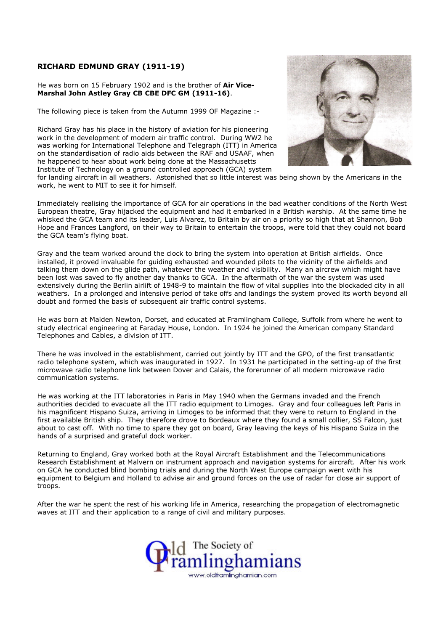## RICHARD EDMUND GRAY (1911-19)

## He was born on 15 February 1902 and is the brother of Air Vice-Marshal John Astley Gray CB CBE DFC GM (1911-16).

The following piece is taken from the Autumn 1999 OF Magazine :-

Richard Gray has his place in the history of aviation for his pioneering work in the development of modern air traffic control. During WW2 he was working for International Telephone and Telegraph (ITT) in America on the standardisation of radio aids between the RAF and USAAF, when he happened to hear about work being done at the Massachusetts Institute of Technology on a ground controlled approach (GCA) system



for landing aircraft in all weathers. Astonished that so little interest was being shown by the Americans in the work, he went to MIT to see it for himself.

Immediately realising the importance of GCA for air operations in the bad weather conditions of the North West European theatre, Gray hijacked the equipment and had it embarked in a British warship. At the same time he whisked the GCA team and its leader, Luis Alvarez, to Britain by air on a priority so high that at Shannon, Bob Hope and Frances Langford, on their way to Britain to entertain the troops, were told that they could not board the GCA team's flying boat.

Gray and the team worked around the clock to bring the system into operation at British airfields. Once installed, it proved invaluable for guiding exhausted and wounded pilots to the vicinity of the airfields and talking them down on the glide path, whatever the weather and visibility. Many an aircrew which might have been lost was saved to fly another day thanks to GCA. In the aftermath of the war the system was used extensively during the Berlin airlift of 1948-9 to maintain the flow of vital supplies into the blockaded city in all weathers. In a prolonged and intensive period of take offs and landings the system proved its worth beyond all doubt and formed the basis of subsequent air traffic control systems.

He was born at Maiden Newton, Dorset, and educated at Framlingham College, Suffolk from where he went to study electrical engineering at Faraday House, London. In 1924 he joined the American company Standard Telephones and Cables, a division of ITT.

There he was involved in the establishment, carried out jointly by ITT and the GPO, of the first transatlantic radio telephone system, which was inaugurated in 1927. In 1931 he participated in the setting-up of the first microwave radio telephone link between Dover and Calais, the forerunner of all modern microwave radio communication systems.

He was working at the ITT laboratories in Paris in May 1940 when the Germans invaded and the French authorities decided to evacuate all the ITT radio equipment to Limoges. Gray and four colleagues left Paris in his magnificent Hispano Suiza, arriving in Limoges to be informed that they were to return to England in the first available British ship. They therefore drove to Bordeaux where they found a small collier, SS Falcon, just about to cast off. With no time to spare they got on board, Gray leaving the keys of his Hispano Suiza in the hands of a surprised and grateful dock worker.

Returning to England, Gray worked both at the Royal Aircraft Establishment and the Telecommunications Research Establishment at Malvern on instrument approach and navigation systems for aircraft. After his work on GCA he conducted blind bombing trials and during the North West Europe campaign went with his equipment to Belgium and Holland to advise air and ground forces on the use of radar for close air support of troops.

After the war he spent the rest of his working life in America, researching the propagation of electromagnetic waves at ITT and their application to a range of civil and military purposes.